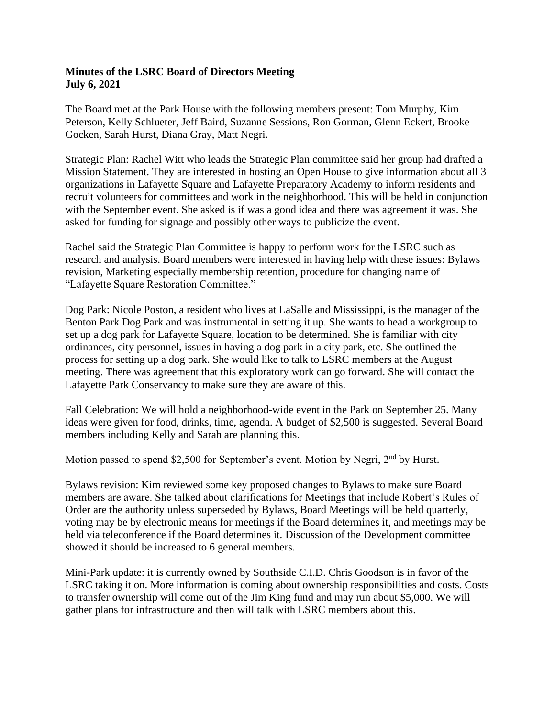## **Minutes of the LSRC Board of Directors Meeting July 6, 2021**

The Board met at the Park House with the following members present: Tom Murphy, Kim Peterson, Kelly Schlueter, Jeff Baird, Suzanne Sessions, Ron Gorman, Glenn Eckert, Brooke Gocken, Sarah Hurst, Diana Gray, Matt Negri.

Strategic Plan: Rachel Witt who leads the Strategic Plan committee said her group had drafted a Mission Statement. They are interested in hosting an Open House to give information about all 3 organizations in Lafayette Square and Lafayette Preparatory Academy to inform residents and recruit volunteers for committees and work in the neighborhood. This will be held in conjunction with the September event. She asked is if was a good idea and there was agreement it was. She asked for funding for signage and possibly other ways to publicize the event.

Rachel said the Strategic Plan Committee is happy to perform work for the LSRC such as research and analysis. Board members were interested in having help with these issues: Bylaws revision, Marketing especially membership retention, procedure for changing name of "Lafayette Square Restoration Committee."

Dog Park: Nicole Poston, a resident who lives at LaSalle and Mississippi, is the manager of the Benton Park Dog Park and was instrumental in setting it up. She wants to head a workgroup to set up a dog park for Lafayette Square, location to be determined. She is familiar with city ordinances, city personnel, issues in having a dog park in a city park, etc. She outlined the process for setting up a dog park. She would like to talk to LSRC members at the August meeting. There was agreement that this exploratory work can go forward. She will contact the Lafayette Park Conservancy to make sure they are aware of this.

Fall Celebration: We will hold a neighborhood-wide event in the Park on September 25. Many ideas were given for food, drinks, time, agenda. A budget of \$2,500 is suggested. Several Board members including Kelly and Sarah are planning this.

Motion passed to spend \$2,500 for September's event. Motion by Negri, 2<sup>nd</sup> by Hurst.

Bylaws revision: Kim reviewed some key proposed changes to Bylaws to make sure Board members are aware. She talked about clarifications for Meetings that include Robert's Rules of Order are the authority unless superseded by Bylaws, Board Meetings will be held quarterly, voting may be by electronic means for meetings if the Board determines it, and meetings may be held via teleconference if the Board determines it. Discussion of the Development committee showed it should be increased to 6 general members.

Mini-Park update: it is currently owned by Southside C.I.D. Chris Goodson is in favor of the LSRC taking it on. More information is coming about ownership responsibilities and costs. Costs to transfer ownership will come out of the Jim King fund and may run about \$5,000. We will gather plans for infrastructure and then will talk with LSRC members about this.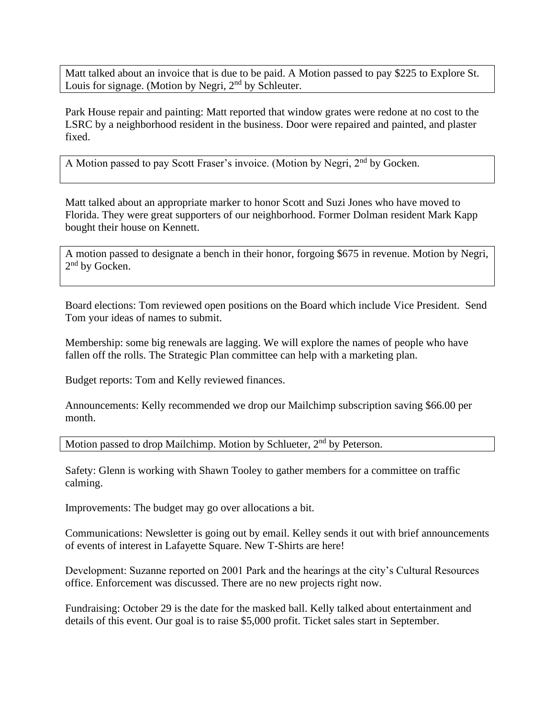Matt talked about an invoice that is due to be paid. A Motion passed to pay \$225 to Explore St. Louis for signage. (Motion by Negri,  $2<sup>nd</sup>$  by Schleuter.

Park House repair and painting: Matt reported that window grates were redone at no cost to the LSRC by a neighborhood resident in the business. Door were repaired and painted, and plaster fixed.

A Motion passed to pay Scott Fraser's invoice. (Motion by Negri, 2<sup>nd</sup> by Gocken.

Matt talked about an appropriate marker to honor Scott and Suzi Jones who have moved to Florida. They were great supporters of our neighborhood. Former Dolman resident Mark Kapp bought their house on Kennett.

A motion passed to designate a bench in their honor, forgoing \$675 in revenue. Motion by Negri, 2<sup>nd</sup> by Gocken.

Board elections: Tom reviewed open positions on the Board which include Vice President. Send Tom your ideas of names to submit.

Membership: some big renewals are lagging. We will explore the names of people who have fallen off the rolls. The Strategic Plan committee can help with a marketing plan.

Budget reports: Tom and Kelly reviewed finances.

Announcements: Kelly recommended we drop our Mailchimp subscription saving \$66.00 per month.

Motion passed to drop Mailchimp. Motion by Schlueter, 2<sup>nd</sup> by Peterson.

Safety: Glenn is working with Shawn Tooley to gather members for a committee on traffic calming.

Improvements: The budget may go over allocations a bit.

Communications: Newsletter is going out by email. Kelley sends it out with brief announcements of events of interest in Lafayette Square. New T-Shirts are here!

Development: Suzanne reported on 2001 Park and the hearings at the city's Cultural Resources office. Enforcement was discussed. There are no new projects right now.

Fundraising: October 29 is the date for the masked ball. Kelly talked about entertainment and details of this event. Our goal is to raise \$5,000 profit. Ticket sales start in September.